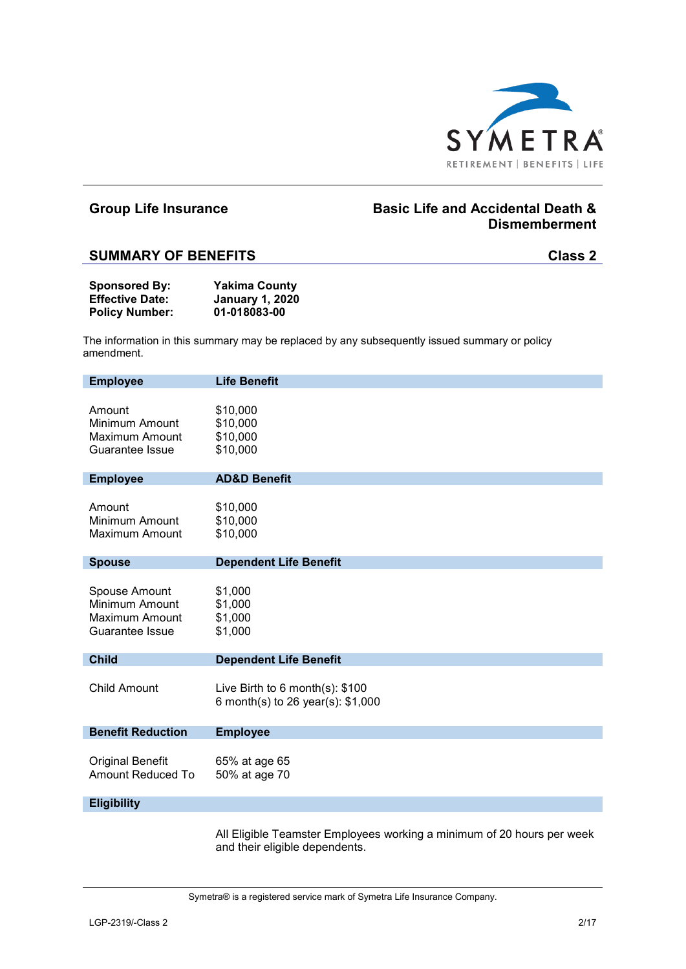

## **Group Life Insurance Basic Life and Accidental Death & Dismemberment**

### **SUMMARY OF BENEFITS Class 2**

| <b>Sponsored By:</b>   | <b>Yakima County</b>   |
|------------------------|------------------------|
| <b>Effective Date:</b> | <b>January 1, 2020</b> |
| <b>Policy Number:</b>  | 01-018083-00           |

The information in this summary may be replaced by any subsequently issued summary or policy amendment.

| <b>Employee</b>                                                             | <b>Life Benefit</b>                                                        |
|-----------------------------------------------------------------------------|----------------------------------------------------------------------------|
| Amount<br><b>Minimum Amount</b><br><b>Maximum Amount</b><br>Guarantee Issue | \$10,000<br>\$10,000<br>\$10,000<br>\$10,000                               |
| <b>Employee</b>                                                             | <b>AD&amp;D Benefit</b>                                                    |
| Amount<br>Minimum Amount<br>Maximum Amount                                  | \$10,000<br>\$10,000<br>\$10,000                                           |
| <b>Spouse</b>                                                               | <b>Dependent Life Benefit</b>                                              |
| Spouse Amount<br>Minimum Amount<br>Maximum Amount<br>Guarantee Issue        | \$1,000<br>\$1,000<br>\$1,000<br>\$1,000                                   |
| <b>Child</b>                                                                | <b>Dependent Life Benefit</b>                                              |
| <b>Child Amount</b>                                                         | Live Birth to $6$ month $(s)$ : \$100<br>6 month(s) to 26 year(s): \$1,000 |
| <b>Benefit Reduction</b>                                                    | <b>Employee</b>                                                            |
| Original Benefit<br><b>Amount Reduced To</b>                                | 65% at age 65<br>50% at age 70                                             |
| <b>Eligibility</b>                                                          |                                                                            |
|                                                                             |                                                                            |

All Eligible Teamster Employees working a minimum of 20 hours per week and their eligible dependents.

Symetra® is a registered service mark of Symetra Life Insurance Company.